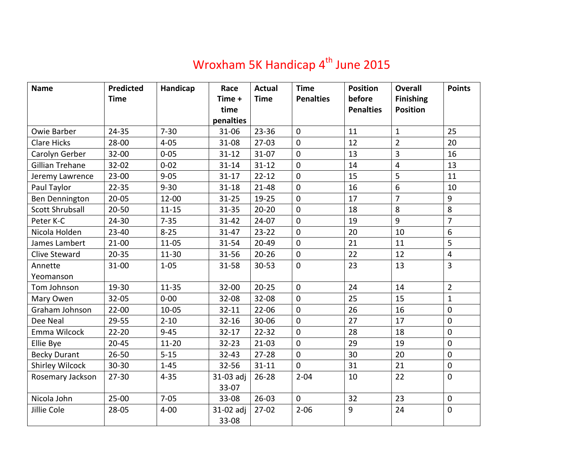## Wroxham 5K Handicap  $4^{\text{th}}$  June 2015

| <b>Name</b>            | <b>Predicted</b> | Handicap  | Race           | <b>Actual</b> | <b>Time</b><br><b>Penalties</b> | <b>Position</b><br>before | <b>Overall</b>                      | <b>Points</b>  |
|------------------------|------------------|-----------|----------------|---------------|---------------------------------|---------------------------|-------------------------------------|----------------|
|                        | <b>Time</b>      |           | Time +<br>time | <b>Time</b>   |                                 | <b>Penalties</b>          | <b>Finishing</b><br><b>Position</b> |                |
|                        |                  |           | penalties      |               |                                 |                           |                                     |                |
| <b>Owie Barber</b>     | 24-35            | $7 - 30$  | 31-06          | $23 - 36$     | $\mathbf 0$                     | 11                        | $\mathbf{1}$                        | 25             |
| <b>Clare Hicks</b>     | 28-00            | $4 - 05$  | 31-08          | $27-03$       | $\mathbf 0$                     | 12                        | $\overline{2}$                      | 20             |
| Carolyn Gerber         | $32 - 00$        | $0 - 05$  | $31 - 12$      | $31 - 07$     | $\mathbf 0$                     | 13                        | 3                                   | 16             |
| Gillian Trehane        | $32 - 02$        | $0 - 02$  | $31 - 14$      | $31 - 12$     | $\mathbf 0$                     | 14                        | $\overline{4}$                      | 13             |
| Jeremy Lawrence        | $23 - 00$        | $9 - 05$  | $31 - 17$      | $22 - 12$     | $\mathbf 0$                     | 15                        | 5                                   | 11             |
| Paul Taylor            | $22 - 35$        | $9 - 30$  | $31 - 18$      | $21 - 48$     | $\mathbf 0$                     | 16                        | 6                                   | 10             |
| Ben Dennington         | $20 - 05$        | $12 - 00$ | $31 - 25$      | 19-25         | $\boldsymbol{0}$                | 17                        | $\overline{7}$                      | 9              |
| <b>Scott Shrubsall</b> | $20 - 50$        | $11 - 15$ | $31 - 35$      | $20 - 20$     | $\overline{0}$                  | 18                        | 8                                   | 8              |
| Peter K-C              | 24-30            | $7 - 35$  | $31 - 42$      | $24-07$       | $\mathbf 0$                     | 19                        | $\overline{9}$                      | $\overline{7}$ |
| Nicola Holden          | $23 - 40$        | $8 - 25$  | 31-47          | $23 - 22$     | $\mathbf 0$                     | 20                        | 10                                  | 6              |
| James Lambert          | $21 - 00$        | $11 - 05$ | 31-54          | 20-49         | $\mathbf 0$                     | 21                        | 11                                  | 5              |
| Clive Steward          | $20 - 35$        | $11 - 30$ | 31-56          | $20 - 26$     | $\mathbf 0$                     | 22                        | 12                                  | $\overline{4}$ |
| Annette                | 31-00            | $1 - 05$  | 31-58          | 30-53         | $\mathbf 0$                     | 23                        | 13                                  | $\overline{3}$ |
| Yeomanson              |                  |           |                |               |                                 |                           |                                     |                |
| Tom Johnson            | 19-30            | $11 - 35$ | 32-00          | $20 - 25$     | $\mathbf 0$                     | 24                        | 14                                  | $\overline{2}$ |
| Mary Owen              | $32 - 05$        | $0 - 00$  | 32-08          | 32-08         | $\mathbf{0}$                    | 25                        | 15                                  | $\mathbf{1}$   |
| Graham Johnson         | $22 - 00$        | $10 - 05$ | $32 - 11$      | $22 - 06$     | $\mathbf 0$                     | 26                        | 16                                  | $\mathbf 0$    |
| Dee Neal               | 29-55            | $2 - 10$  | $32 - 16$      | 30-06         | $\overline{0}$                  | 27                        | 17                                  | $\mathbf 0$    |
| Emma Wilcock           | $22 - 20$        | $9 - 45$  | $32 - 17$      | $22 - 32$     | $\mathbf 0$                     | 28                        | 18                                  | $\mathbf 0$    |
| Ellie Bye              | $20 - 45$        | $11 - 20$ | $32 - 23$      | $21 - 03$     | $\mathbf 0$                     | 29                        | 19                                  | $\mathbf 0$    |
| <b>Becky Durant</b>    | $26 - 50$        | $5 - 15$  | $32 - 43$      | $27 - 28$     | $\mathbf 0$                     | 30                        | 20                                  | $\mathbf 0$    |
| <b>Shirley Wilcock</b> | $30 - 30$        | $1 - 45$  | 32-56          | $31 - 11$     | $\mathbf{0}$                    | 31                        | 21                                  | $\mathbf 0$    |
| Rosemary Jackson       | $27 - 30$        | $4 - 35$  | 31-03 adj      | $26 - 28$     | $2 - 04$                        | 10                        | 22                                  | $\mathbf 0$    |
|                        |                  |           | 33-07          |               |                                 |                           |                                     |                |
| Nicola John            | $25 - 00$        | $7 - 05$  | 33-08          | $26 - 03$     | $\mathbf{0}$                    | 32                        | 23                                  | $\mathbf 0$    |
| Jillie Cole            | $28 - 05$        | $4 - 00$  | 31-02 adj      | $27-02$       | $2 - 06$                        | 9                         | 24                                  | $\mathbf 0$    |
|                        |                  |           | 33-08          |               |                                 |                           |                                     |                |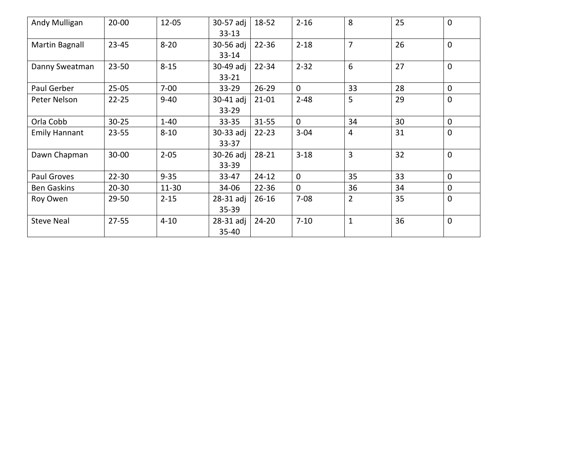| Andy Mulligan        | $20 - 00$ | $12 - 05$ | 30-57 adj<br>$33 - 13$ | 18-52     | $2 - 16$       | 8              | 25 | $\mathbf{0}$ |
|----------------------|-----------|-----------|------------------------|-----------|----------------|----------------|----|--------------|
| Martin Bagnall       | $23 - 45$ | $8 - 20$  | 30-56 adj<br>$33 - 14$ | $22 - 36$ | $2 - 18$       | $\overline{7}$ | 26 | $\mathbf{0}$ |
| Danny Sweatman       | $23 - 50$ | $8 - 15$  | 30-49 adj<br>$33 - 21$ | $22 - 34$ | $2 - 32$       | 6              | 27 | $\mathbf 0$  |
| Paul Gerber          | $25 - 05$ | $7 - 00$  | $33 - 29$              | $26 - 29$ | $\mathbf{0}$   | 33             | 28 | $\mathbf 0$  |
| Peter Nelson         | $22 - 25$ | $9 - 40$  | 30-41 adj<br>$33 - 29$ | $21 - 01$ | $2 - 48$       | 5              | 29 | $\mathbf 0$  |
| Orla Cobb            | $30 - 25$ | $1 - 40$  | $33 - 35$              | $31 - 55$ | $\overline{0}$ | 34             | 30 | $\mathbf 0$  |
| <b>Emily Hannant</b> | $23 - 55$ | $8 - 10$  | 30-33 adj<br>$33 - 37$ | $22 - 23$ | $3 - 04$       | 4              | 31 | $\mathbf 0$  |
| Dawn Chapman         | $30 - 00$ | $2 - 05$  | 30-26 adj<br>33-39     | $28 - 21$ | $3 - 18$       | 3              | 32 | $\mathbf{0}$ |
| Paul Groves          | $22 - 30$ | $9 - 35$  | 33-47                  | $24 - 12$ | $\mathbf{0}$   | 35             | 33 | $\mathbf 0$  |
| <b>Ben Gaskins</b>   | $20 - 30$ | $11 - 30$ | 34-06                  | $22 - 36$ | $\overline{0}$ | 36             | 34 | $\mathbf 0$  |
| Roy Owen             | 29-50     | $2 - 15$  | 28-31 adj<br>$35 - 39$ | $26 - 16$ | $7 - 08$       | $\overline{2}$ | 35 | $\mathbf{0}$ |
| <b>Steve Neal</b>    | $27 - 55$ | $4 - 10$  | 28-31 adj<br>35-40     | $24 - 20$ | $7 - 10$       | $\mathbf{1}$   | 36 | $\mathbf{0}$ |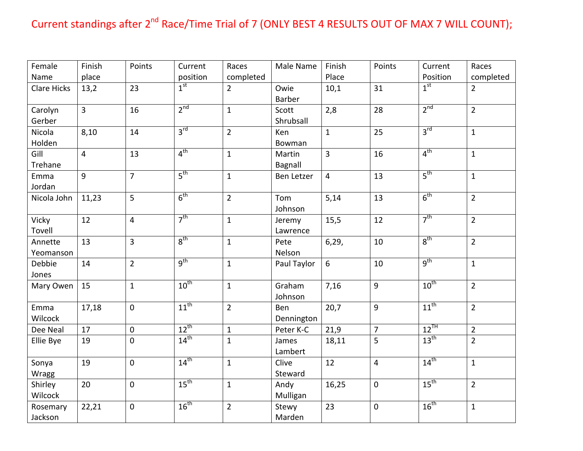## Current standings after 2<sup>nd</sup> Race/Time Trial of 7 (ONLY BEST 4 RESULTS OUT OF MAX 7 WILL COUNT);

| Female             | Finish         | Points           | Current          | Races          | Male Name         | Finish         | Points         | Current          | Races          |
|--------------------|----------------|------------------|------------------|----------------|-------------------|----------------|----------------|------------------|----------------|
| Name               | place          |                  | position         | completed      |                   | Place          |                | Position         | completed      |
| <b>Clare Hicks</b> | 13,2           | 23               | 1 <sup>st</sup>  | $\overline{2}$ | Owie              | 10,1           | 31             | 1 <sup>st</sup>  | $\overline{2}$ |
|                    |                |                  |                  |                | Barber            |                |                |                  |                |
| Carolyn            | $\overline{3}$ | 16               | 2 <sup>nd</sup>  | $\mathbf{1}$   | Scott             | 2,8            | 28             | 2 <sup>nd</sup>  | $\overline{2}$ |
| Gerber             |                |                  |                  |                | Shrubsall         |                |                |                  |                |
| Nicola             | 8,10           | 14               | $3^{\text{rd}}$  | $\overline{2}$ | Ken               | $\mathbf{1}$   | 25             | $3^{\text{rd}}$  | $\mathbf{1}$   |
| Holden             |                |                  |                  |                | Bowman            |                |                |                  |                |
| Gill               | $\overline{4}$ | 13               | 4 <sup>th</sup>  | $\mathbf{1}$   | Martin            | $\overline{3}$ | 16             | 4 <sup>th</sup>  | $\mathbf{1}$   |
| Trehane            |                |                  |                  |                | Bagnall           |                |                |                  |                |
| Emma               | 9              | $\overline{7}$   | $5^{\text{th}}$  | $\mathbf{1}$   | <b>Ben Letzer</b> | $\overline{4}$ | 13             | 5 <sup>th</sup>  | $\mathbf{1}$   |
| Jordan             |                |                  |                  |                |                   |                |                |                  |                |
| Nicola John        | 11,23          | 5                | 6 <sup>th</sup>  | $\overline{2}$ | Tom               | 5,14           | 13             | 6 <sup>th</sup>  | $\overline{2}$ |
|                    |                |                  |                  |                | Johnson           |                |                |                  |                |
| Vicky              | 12             | $\overline{4}$   | 7 <sup>th</sup>  | $\mathbf{1}$   | Jeremy            | 15,5           | 12             | 7 <sup>th</sup>  | $\overline{2}$ |
| Tovell             |                |                  |                  |                | Lawrence          |                |                |                  |                |
| Annette            | 13             | 3                | 8 <sup>th</sup>  | $\mathbf{1}$   | Pete              | 6,29,          | 10             | 8 <sup>th</sup>  | $\overline{2}$ |
| Yeomanson          |                |                  |                  |                | Nelson            |                |                |                  |                |
| Debbie             | 14             | $\overline{2}$   | $q^{th}$         | $\mathbf{1}$   | Paul Taylor       | 6              | 10             | 9 <sup>th</sup>  | $\mathbf{1}$   |
| Jones              |                |                  |                  |                |                   |                |                |                  |                |
| Mary Owen          | 15             | $\mathbf{1}$     | $10^{th}$        | $\mathbf{1}$   | Graham            | 7,16           | $\overline{9}$ | $10^{th}$        | $\overline{2}$ |
|                    |                |                  |                  |                | Johnson           |                |                |                  |                |
| Emma               | 17,18          | $\mathbf 0$      | $11^{th}$        | $\overline{2}$ | Ben               | 20,7           | 9              | $11^{\text{th}}$ | $\overline{2}$ |
| Wilcock            |                |                  |                  |                | Dennington        |                |                |                  |                |
| Dee Neal           | 17             | $\mathbf 0$      | $12^{th}$        | $\mathbf{1}$   | Peter K-C         | 21,9           | $\overline{7}$ | $12^{TH}$        | $\overline{2}$ |
| Ellie Bye          | 19             | $\boldsymbol{0}$ | $14^{th}$        | $\mathbf{1}$   | James             | 18,11          | 5              | 13 <sup>th</sup> | $\overline{2}$ |
|                    |                |                  |                  |                | Lambert           |                |                |                  |                |
| Sonya              | 19             | 0                | $14^{\text{th}}$ | $\mathbf{1}$   | Clive             | 12             | $\overline{4}$ | $14^{\text{th}}$ | $\mathbf{1}$   |
| Wragg              |                |                  |                  |                | Steward           |                |                |                  |                |
| Shirley            | 20             | $\mathbf 0$      | 15 <sup>th</sup> | $\mathbf{1}$   | Andy              | 16,25          | $\mathbf 0$    | 15 <sup>th</sup> | $\overline{2}$ |
| Wilcock            |                |                  |                  |                | Mulligan          |                |                |                  |                |
| Rosemary           | 22,21          | $\pmb{0}$        | $16^{th}$        | $\overline{2}$ | Stewy             | 23             | $\mathbf 0$    | 16 <sup>th</sup> | $\mathbf 1$    |
| Jackson            |                |                  |                  |                | Marden            |                |                |                  |                |